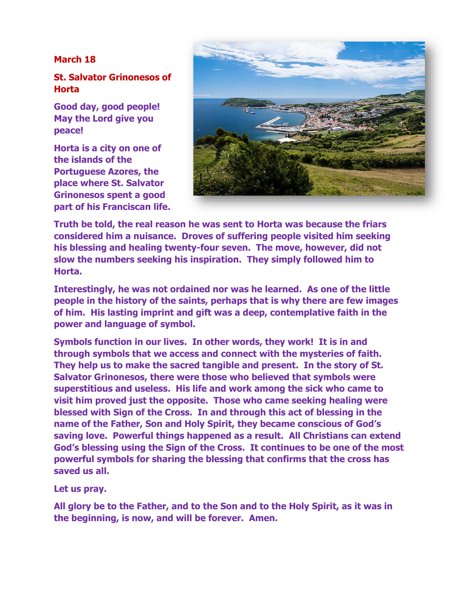## **March 18**

## **St. Salvator Grinonesos of Horta**

**Good day, good people! May the Lord give you peace!**

**Horta is a city on one of the islands of the Portuguese Azores, the place where St. Salvator Grinonesos spent a good part of his Franciscan life.** 



**Truth be told, the real reason he was sent to Horta was because the friars considered him a nuisance. Droves of suffering people visited him seeking his blessing and healing twenty-four seven. The move, however, did not slow the numbers seeking his inspiration. They simply followed him to Horta.** 

**Interestingly, he was not ordained nor was he learned. As one of the little people in the history of the saints, perhaps that is why there are few images of him. His lasting imprint and gift was a deep, contemplative faith in the power and language of symbol.** 

**Symbols function in our lives. In other words, they work! It is in and through symbols that we access and connect with the mysteries of faith. They help us to make the sacred tangible and present. In the story of St. Salvator Grinonesos, there were those who believed that symbols were superstitious and useless. His life and work among the sick who came to visit him proved just the opposite. Those who came seeking healing were blessed with Sign of the Cross. In and through this act of blessing in the name of the Father, Son and Holy Spirit, they became conscious of God's saving love. Powerful things happened as a result. All Christians can extend God's blessing using the Sign of the Cross. It continues to be one of the most powerful symbols for sharing the blessing that confirms that the cross has saved us all.**

**Let us pray.**

**All glory be to the Father, and to the Son and to the Holy Spirit, as it was in the beginning, is now, and will be forever. Amen.**